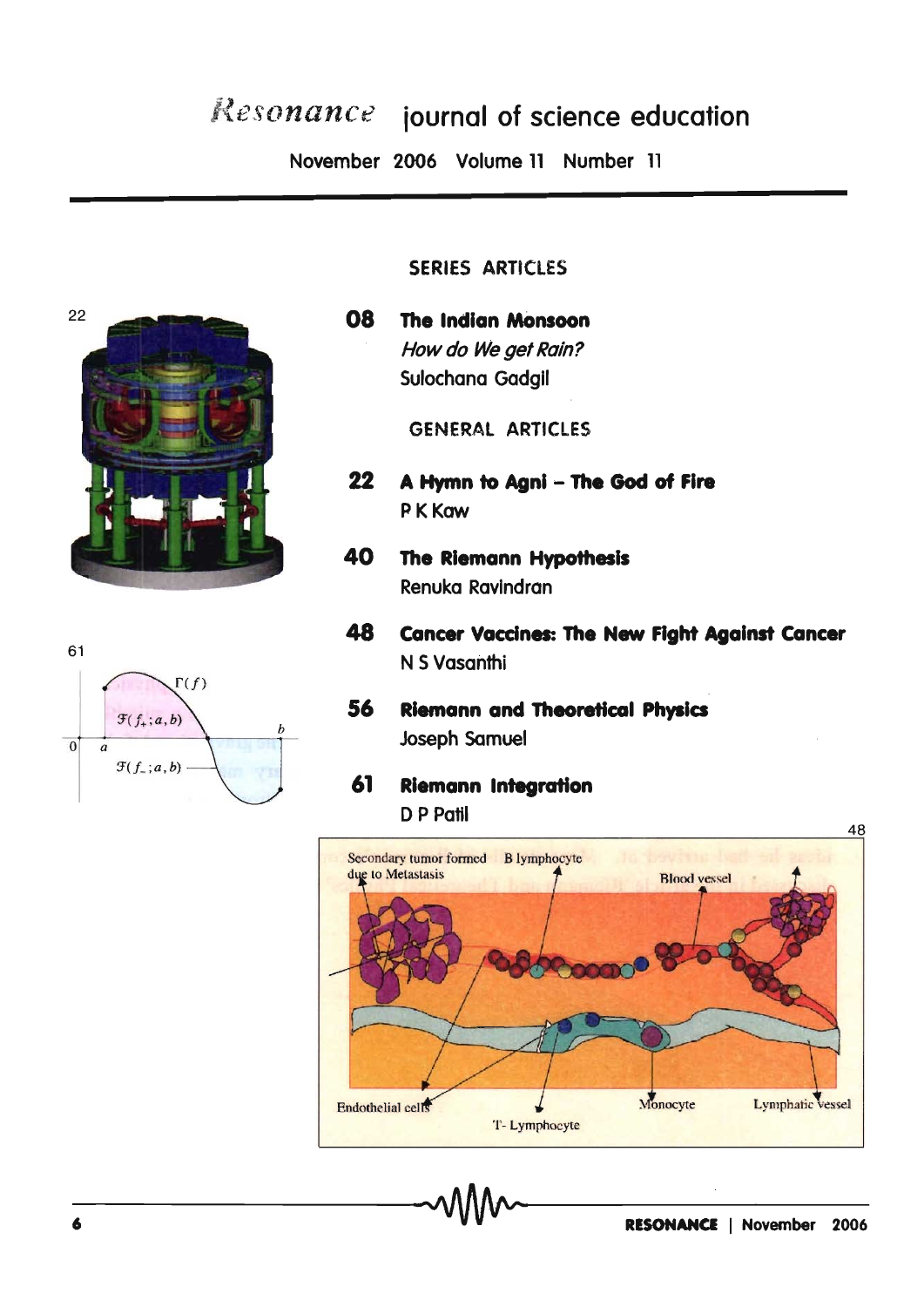# Resonance journal of science education

November 2006 Volume 11 Number 11



# 61  $\Gamma(f)$  $\mathfrak{F}(f_{+};a,b)$  $\overline{0}$  $\overline{a}$  $\mathcal{F}(f_{-};a,b)$

#### SERIES ARTICLES

80 **The Indian Monsoon** How do We get Rain? Sulochana Gadail

**GENERAL ARTICLES** 

- $22<sub>2</sub>$ A Hymn to Agni - The God of Fire P K Kaw
- 40 The Riemann Hypothesis Renuka Ravindran
- 48 **Cancer Vaccines: The New Fight Against Cancer** N S Vasanthi
- 56 **Riemann and Theoretical Physics Joseph Samuel**
- 61 **Riemann Integration** D P Patil

48 Secondary tumor formed B lymphocyte due to Metastasis **Blood** vessel Monocyte Lymphatic vessel Endothelial cells T-Lymphocyte